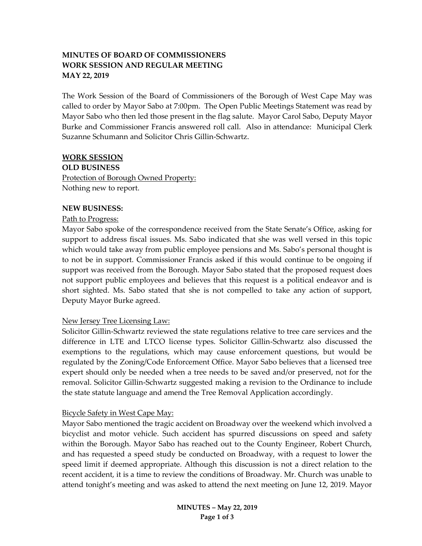# **MINUTES OF BOARD OF COMMISSIONERS WORK SESSION AND REGULAR MEETING MAY 22, 2019**

The Work Session of the Board of Commissioners of the Borough of West Cape May was called to order by Mayor Sabo at 7:00pm. The Open Public Meetings Statement was read by Mayor Sabo who then led those present in the flag salute. Mayor Carol Sabo, Deputy Mayor Burke and Commissioner Francis answered roll call. Also in attendance: Municipal Clerk Suzanne Schumann and Solicitor Chris Gillin-Schwartz.

#### **WORK SESSION**

**OLD BUSINESS**

Protection of Borough Owned Property: Nothing new to report.

#### **NEW BUSINESS:**

#### Path to Progress:

Mayor Sabo spoke of the correspondence received from the State Senate's Office, asking for support to address fiscal issues. Ms. Sabo indicated that she was well versed in this topic which would take away from public employee pensions and Ms. Sabo's personal thought is to not be in support. Commissioner Francis asked if this would continue to be ongoing if support was received from the Borough. Mayor Sabo stated that the proposed request does not support public employees and believes that this request is a political endeavor and is short sighted. Ms. Sabo stated that she is not compelled to take any action of support, Deputy Mayor Burke agreed.

# New Jersey Tree Licensing Law:

Solicitor Gillin-Schwartz reviewed the state regulations relative to tree care services and the difference in LTE and LTCO license types. Solicitor Gillin-Schwartz also discussed the exemptions to the regulations, which may cause enforcement questions, but would be regulated by the Zoning/Code Enforcement Office. Mayor Sabo believes that a licensed tree expert should only be needed when a tree needs to be saved and/or preserved, not for the removal. Solicitor Gillin-Schwartz suggested making a revision to the Ordinance to include the state statute language and amend the Tree Removal Application accordingly.

# Bicycle Safety in West Cape May:

Mayor Sabo mentioned the tragic accident on Broadway over the weekend which involved a bicyclist and motor vehicle. Such accident has spurred discussions on speed and safety within the Borough. Mayor Sabo has reached out to the County Engineer, Robert Church, and has requested a speed study be conducted on Broadway, with a request to lower the speed limit if deemed appropriate. Although this discussion is not a direct relation to the recent accident, it is a time to review the conditions of Broadway. Mr. Church was unable to attend tonight's meeting and was asked to attend the next meeting on June 12, 2019. Mayor

> **MINUTES – May 22, 2019 Page 1 of 3**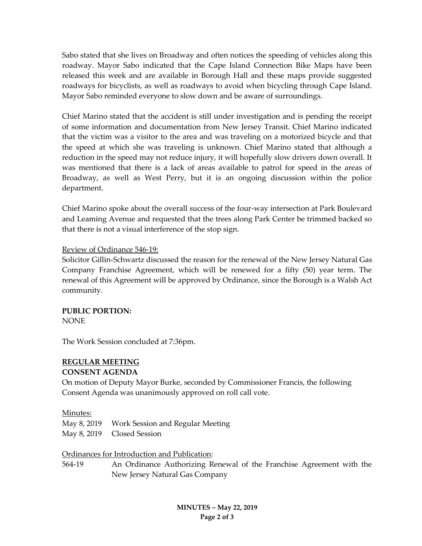Sabo stated that she lives on Broadway and often notices the speeding of vehicles along this roadway. Mayor Sabo indicated that the Cape Island Connection Bike Maps have been released this week and are available in Borough Hall and these maps provide suggested roadways for bicyclists, as well as roadways to avoid when bicycling through Cape Island. Mayor Sabo reminded everyone to slow down and be aware of surroundings.

Chief Marino stated that the accident is still under investigation and is pending the receipt of some information and documentation from New Jersey Transit. Chief Marino indicated that the victim was a visitor to the area and was traveling on a motorized bicycle and that the speed at which she was traveling is unknown. Chief Marino stated that although a reduction in the speed may not reduce injury, it will hopefully slow drivers down overall. It was mentioned that there is a lack of areas available to patrol for speed in the areas of Broadway, as well as West Perry, but it is an ongoing discussion within the police department.

Chief Marino spoke about the overall success of the four-way intersection at Park Boulevard and Leaming Avenue and requested that the trees along Park Center be trimmed backed so that there is not a visual interference of the stop sign.

#### Review of Ordinance 546-19:

Solicitor Gillin-Schwartz discussed the reason for the renewal of the New Jersey Natural Gas Company Franchise Agreement, which will be renewed for a fifty (50) year term. The renewal of this Agreement will be approved by Ordinance, since the Borough is a Walsh Act community.

# **PUBLIC PORTION:**

NONE

The Work Session concluded at 7:36pm.

# **REGULAR MEETING**

# **CONSENT AGENDA**

On motion of Deputy Mayor Burke, seconded by Commissioner Francis, the following Consent Agenda was unanimously approved on roll call vote.

# Minutes:

| May 8, 2019 Work Session and Regular Meeting |
|----------------------------------------------|
| May 8, 2019 Closed Session                   |

# Ordinances for Introduction and Publication:

564-19 An Ordinance Authorizing Renewal of the Franchise Agreement with the New Jersey Natural Gas Company

> **MINUTES – May 22, 2019 Page 2 of 3**